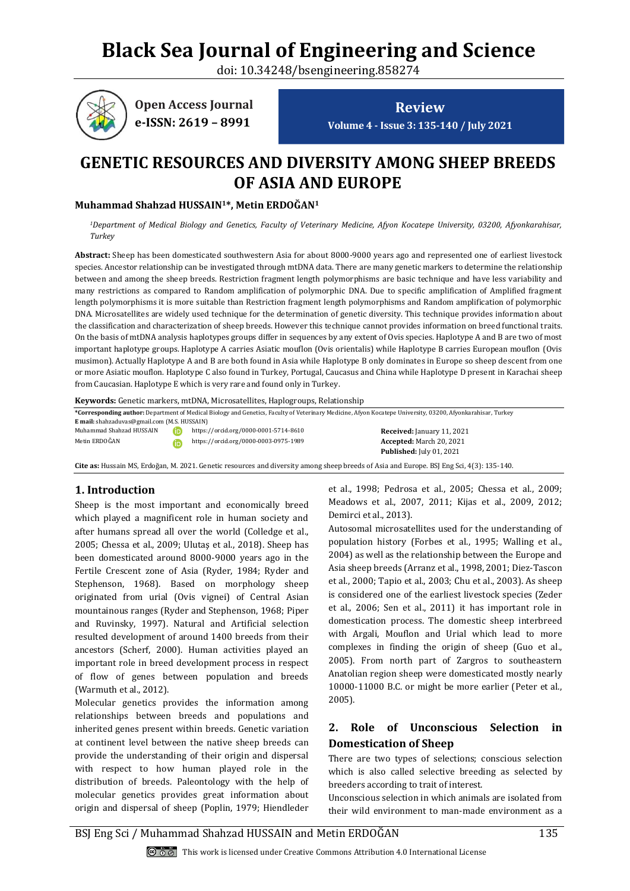# **Black Sea Journal of Engineering and Science**

doi: 10.34248/bsengineering.858274



**Review Volume 4 - Issue 3: 135-140 / July 2021**

# **GENETIC RESOURCES AND DIVERSITY AMONG SHEEP BREEDS OF ASIA AND EUROPE**

#### **Muhammad Shahzad HUSSAIN1\*, Metin ERDOĞAN<sup>1</sup>**

*<sup>1</sup>Department of Medical Biology and Genetics, Faculty of Veterinary Medicine, Afyon Kocatepe University, 03200, Afyonkarahisar, Turkey*

**Abstract:** Sheep has been domesticated southwestern Asia for about 8000-9000 years ago and represented one of earliest livestock species. Ancestor relationship can be investigated through mtDNA data. There are many genetic markers to determine the relationship between and among the sheep breeds. Restriction fragment length polymorphisms are basic technique and have less variability and many restrictions as compared to Random amplification of polymorphic DNA. Due to specific amplification of Amplified fragment length polymorphisms it is more suitable than Restriction fragment length polymorphisms and Random amplification of polymorphic DNA. Microsatellites are widely used technique for the determination of genetic diversity. This technique provides information about the classification and characterization of sheep breeds. However this technique cannot provides information on breed functional traits. On the basis of mtDNA analysis haplotypes groups differ in sequences by any extent of Ovis species. Haplotype A and B are two of most important haplotype groups. Haplotype A carries Asiatic mouflon (Ovis orientalis) while Haplotype B carries European mouflon (Ovis musimon). Actually Haplotype A and B are both found in Asia while Haplotype B only dominates in Europe so sheep descent from one or more Asiatic mouflon. Haplotype C also found in Turkey, Portugal, Caucasus and China while Haplotype D present in Karachai sheep from Caucasian. Haplotype E which is very rare and found only in Turkey.

**Keywords:** Genetic markers, mtDNA, Microsatellites, Haplogroups, Relationship

**\*Corresponding author:** Department of Medical Biology and Genetics, Faculty of Veterinary Medicine, Afyon Kocatepe University, 03200, Afyonkarahisar, Turkey **E mail:** shahzaduvas@gmail.com (M.S. HUSSAIN) Muhammad Shahzad HUSSAIN https://orcid.org/0000-0001-5714-8610 **Received:** January 11, 2021 **Accepted:** March 20, 2021 **Published:** July 01, 2021 Metin ERDOĞAN https://orcid.org/0000-0003-0975-1989

**Cite as:** Hussain MS, Erdoğan, M. 2021. Genetic resources and diversity among sheep breeds of Asia and Europe. BSJ Eng Sci, 4(3): 135-140.

# **1. Introduction**

Sheep is the most important and economically breed which played a magnificent role in human society and after humans spread all over the world (Colledge et al., 2005; Chessa et al., 2009; Ulutaş et al., 2018). Sheep has been domesticated around 8000-9000 years ago in the Fertile Crescent zone of Asia (Ryder, 1984; Ryder and Stephenson, 1968). Based on morphology sheep originated from urial (Ovis vignei) of Central Asian mountainous ranges (Ryder and Stephenson, 1968; Piper and Ruvinsky, 1997). Natural and Artificial selection resulted development of around 1400 breeds from their ancestors (Scherf, 2000). Human activities played an important role in breed development process in respect of flow of genes between population and breeds (Warmuth et al., 2012).

Molecular genetics provides the information among relationships between breeds and populations and inherited genes present within breeds. Genetic variation at continent level between the native sheep breeds can provide the understanding of their origin and dispersal with respect to how human played role in the distribution of breeds. Paleontology with the help of molecular genetics provides great information about origin and dispersal of sheep (Poplin, 1979; Hiendleder

et al., 1998; Pedrosa et al., 2005; Chessa et al., 2009; Meadows et al., 2007, 2011; Kijas et al., 2009, 2012; Demirci et al., 2013).

Autosomal microsatellites used for the understanding of population history (Forbes et al., 1995; Walling et al., 2004) as well as the relationship between the Europe and Asia sheep breeds (Arranz et al., 1998, 2001; Diez-Tascon et al., 2000; Tapio et al., 2003; Chu et al., 2003). As sheep is considered one of the earliest livestock species (Zeder et al., 2006; Sen et al., 2011) it has important role in domestication process. The domestic sheep interbreed with Argali, Mouflon and Urial which lead to more complexes in finding the origin of sheep (Guo et al., 2005). From north part of Zargros to southeastern Anatolian region sheep were domesticated mostly nearly 10000-11000 B.C. or might be more earlier (Peter et al., 2005).

# **2. Role of Unconscious Selection in Domestication of Sheep**

There are two types of selections; conscious selection which is also called selective breeding as selected by breeders according to trait of interest.

Unconscious selection in which animals are isolated from their wild environment to man-made environment as a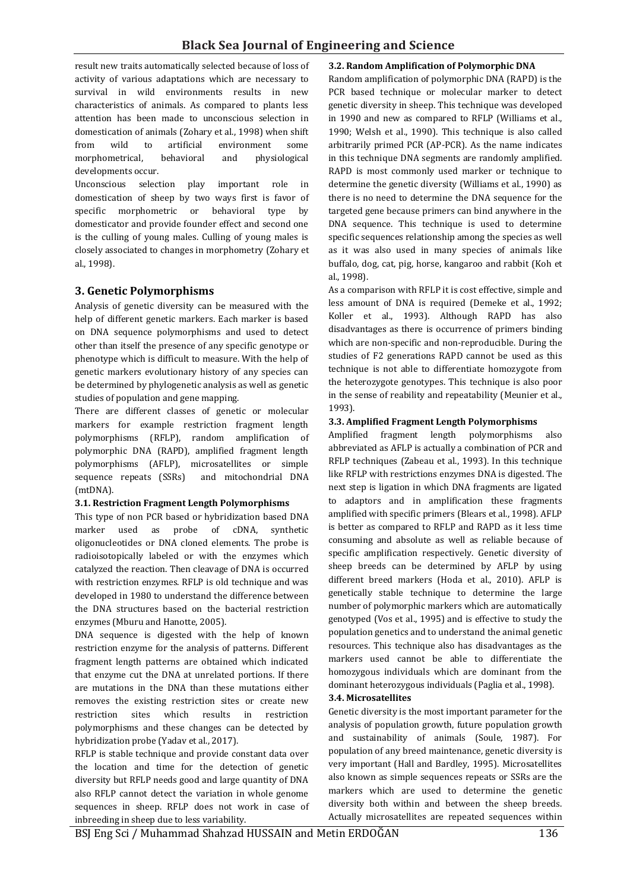result new traits automatically selected because of loss of activity of various adaptations which are necessary to survival in wild environments results in new characteristics of animals. As compared to plants less attention has been made to unconscious selection in domestication of animals (Zohary et al., 1998) when shift from wild to artificial environment some morphometrical, behavioral and physiological developments occur.

Unconscious selection play important role in domestication of sheep by two ways first is favor of specific morphometric or behavioral type by domesticator and provide founder effect and second one is the culling of young males. Culling of young males is closely associated to changes in morphometry (Zohary et al., 1998).

# **3. Genetic Polymorphisms**

Analysis of genetic diversity can be measured with the help of different genetic markers. Each marker is based on DNA sequence polymorphisms and used to detect other than itself the presence of any specific genotype or phenotype which is difficult to measure. With the help of genetic markers evolutionary history of any species can be determined by phylogenetic analysis as well as genetic studies of population and gene mapping.

There are different classes of genetic or molecular markers for example restriction fragment length polymorphisms (RFLP), random amplification of polymorphic DNA (RAPD), amplified fragment length polymorphisms (AFLP), microsatellites or simple sequence repeats (SSRs) and mitochondrial DNA (mtDNA).

#### **3.1. Restriction Fragment Length Polymorphisms**

This type of non PCR based or hybridization based DNA marker used as probe of cDNA, synthetic oligonucleotides or DNA cloned elements. The probe is radioisotopically labeled or with the enzymes which catalyzed the reaction. Then cleavage of DNA is occurred with restriction enzymes. RFLP is old technique and was developed in 1980 to understand the difference between the DNA structures based on the bacterial restriction enzymes (Mburu and Hanotte, 2005).

DNA sequence is digested with the help of known restriction enzyme for the analysis of patterns. Different fragment length patterns are obtained which indicated that enzyme cut the DNA at unrelated portions. If there are mutations in the DNA than these mutations either removes the existing restriction sites or create new restriction sites which results in restriction polymorphisms and these changes can be detected by hybridization probe (Yadav et al., 2017).

RFLP is stable technique and provide constant data over the location and time for the detection of genetic diversity but RFLP needs good and large quantity of DNA also RFLP cannot detect the variation in whole genome sequences in sheep. RFLP does not work in case of inbreeding in sheep due to less variability.

#### **3.2. Random Amplification of Polymorphic DNA**

Random amplification of polymorphic DNA (RAPD) is the PCR based technique or molecular marker to detect genetic diversity in sheep. This technique was developed in 1990 and new as compared to RFLP (Williams et al., 1990; Welsh et al., 1990). This technique is also called arbitrarily primed PCR (AP-PCR). As the name indicates in this technique DNA segments are randomly amplified. RAPD is most commonly used marker or technique to determine the genetic diversity (Williams et al., 1990) as there is no need to determine the DNA sequence for the targeted gene because primers can bind anywhere in the DNA sequence. This technique is used to determine specific sequences relationship among the species as well as it was also used in many species of animals like buffalo, dog, cat, pig, horse, kangaroo and rabbit (Koh et al., 1998).

As a comparison with RFLP it is cost effective, simple and less amount of DNA is required (Demeke et al., 1992; Koller et al., 1993). Although RAPD has also disadvantages as there is occurrence of primers binding which are non-specific and non-reproducible. During the studies of F2 generations RAPD cannot be used as this technique is not able to differentiate homozygote from the heterozygote genotypes. This technique is also poor in the sense of reability and repeatability (Meunier et al., 1993).

#### **3.3. Amplified Fragment Length Polymorphisms**

Amplified fragment length polymorphisms also abbreviated as AFLP is actually a combination of PCR and RFLP techniques (Zabeau et al., 1993). In this technique like RFLP with restrictions enzymes DNA is digested. The next step is ligation in which DNA fragments are ligated to adaptors and in amplification these fragments amplified with specific primers (Blears et al., 1998). AFLP is better as compared to RFLP and RAPD as it less time consuming and absolute as well as reliable because of specific amplification respectively. Genetic diversity of sheep breeds can be determined by AFLP by using different breed markers (Hoda et al., 2010). AFLP is genetically stable technique to determine the large number of polymorphic markers which are automatically genotyped (Vos et al., 1995) and is effective to study the population genetics and to understand the animal genetic resources. This technique also has disadvantages as the markers used cannot be able to differentiate the homozygous individuals which are dominant from the dominant heterozygous individuals (Paglia et al., 1998).

#### **3.4. Microsatellites**

Genetic diversity is the most important parameter for the analysis of population growth, future population growth and sustainability of animals (Soule, 1987). For population of any breed maintenance, genetic diversity is very important (Hall and Bardley, 1995). Microsatellites also known as simple sequences repeats or SSRs are the markers which are used to determine the genetic diversity both within and between the sheep breeds. Actually microsatellites are repeated sequences within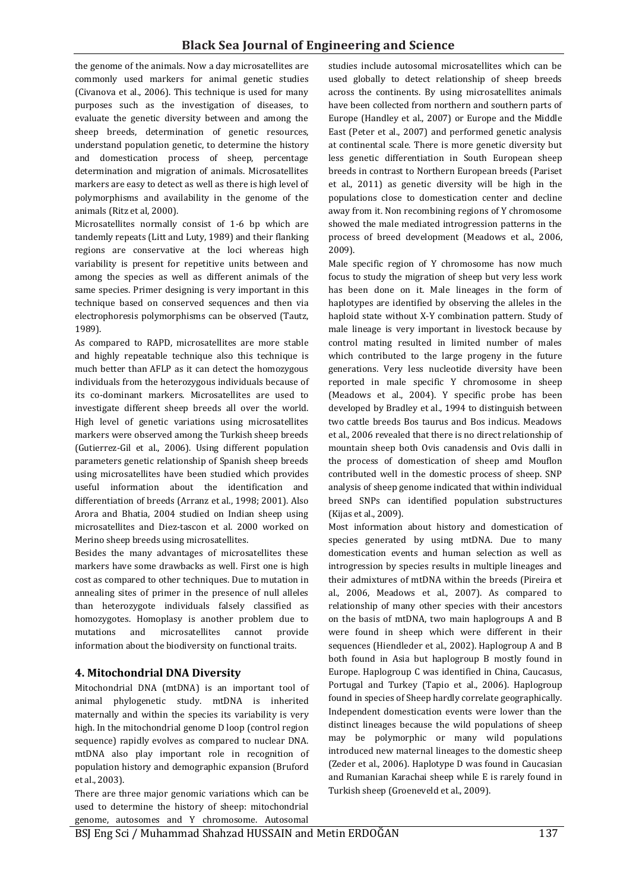the genome of the animals. Now a day microsatellites are commonly used markers for animal genetic studies (Civanova et al., 2006). This technique is used for many purposes such as the investigation of diseases, to evaluate the genetic diversity between and among the sheep breeds, determination of genetic resources, understand population genetic, to determine the history and domestication process of sheep, percentage determination and migration of animals. Microsatellites markers are easy to detect as well as there is high level of polymorphisms and availability in the genome of the animals (Ritz et al, 2000).

Microsatellites normally consist of 1-6 bp which are tandemly repeats (Litt and Luty, 1989) and their flanking regions are conservative at the loci whereas high variability is present for repetitive units between and among the species as well as different animals of the same species. Primer designing is very important in this technique based on conserved sequences and then via electrophoresis polymorphisms can be observed (Tautz, 1989).

As compared to RAPD, microsatellites are more stable and highly repeatable technique also this technique is much better than AFLP as it can detect the homozygous individuals from the heterozygous individuals because of its co-dominant markers. Microsatellites are used to investigate different sheep breeds all over the world. High level of genetic variations using microsatellites markers were observed among the Turkish sheep breeds (Gutierrez-Gil et al., 2006). Using different population parameters genetic relationship of Spanish sheep breeds using microsatellites have been studied which provides useful information about the identification and differentiation of breeds (Arranz et al., 1998; 2001). Also Arora and Bhatia, 2004 studied on Indian sheep using microsatellites and Diez-tascon et al. 2000 worked on Merino sheep breeds using microsatellites.

Besides the many advantages of microsatellites these markers have some drawbacks as well. First one is high cost as compared to other techniques. Due to mutation in annealing sites of primer in the presence of null alleles than heterozygote individuals falsely classified as homozygotes. Homoplasy is another problem due to mutations and microsatellites cannot provide information about the biodiversity on functional traits.

# **4. Mitochondrial DNA Diversity**

Mitochondrial DNA (mtDNA) is an important tool of animal phylogenetic study. mtDNA is inherited maternally and within the species its variability is very high. In the mitochondrial genome D loop (control region sequence) rapidly evolves as compared to nuclear DNA. mtDNA also play important role in recognition of population history and demographic expansion (Bruford et al., 2003).

There are three major genomic variations which can be used to determine the history of sheep: mitochondrial genome, autosomes and Y chromosome. Autosomal studies include autosomal microsatellites which can be used globally to detect relationship of sheep breeds across the continents. By using microsatellites animals have been collected from northern and southern parts of Europe (Handley et al., 2007) or Europe and the Middle East (Peter et al., 2007) and performed genetic analysis at continental scale. There is more genetic diversity but less genetic differentiation in South European sheep breeds in contrast to Northern European breeds (Pariset et al., 2011) as genetic diversity will be high in the populations close to domestication center and decline away from it. Non recombining regions of Y chromosome showed the male mediated introgression patterns in the process of breed development (Meadows et al., 2006, 2009).

Male specific region of Y chromosome has now much focus to study the migration of sheep but very less work has been done on it. Male lineages in the form of haplotypes are identified by observing the alleles in the haploid state without X-Y combination pattern. Study of male lineage is very important in livestock because by control mating resulted in limited number of males which contributed to the large progeny in the future generations. Very less nucleotide diversity have been reported in male specific Y chromosome in sheep (Meadows et al., 2004). Y specific probe has been developed by Bradley et al., 1994 to distinguish between two cattle breeds Bos taurus and Bos indicus. Meadows et al., 2006 revealed that there is no direct relationship of mountain sheep both Ovis canadensis and Ovis dalli in the process of domestication of sheep amd Mouflon contributed well in the domestic process of sheep. SNP analysis of sheep genome indicated that within individual breed SNPs can identified population substructures (Kijas et al., 2009).

Most information about history and domestication of species generated by using mtDNA. Due to many domestication events and human selection as well as introgression by species results in multiple lineages and their admixtures of mtDNA within the breeds (Pireira et al., 2006, Meadows et al., 2007). As compared to relationship of many other species with their ancestors on the basis of mtDNA, two main haplogroups A and B were found in sheep which were different in their sequences (Hiendleder et al., 2002). Haplogroup A and B both found in Asia but haplogroup B mostly found in Europe. Haplogroup C was identified in China, Caucasus, Portugal and Turkey (Tapio et al., 2006). Haplogroup found in species of Sheep hardly correlate geographically. Independent domestication events were lower than the distinct lineages because the wild populations of sheep may be polymorphic or many wild populations introduced new maternal lineages to the domestic sheep (Zeder et al., 2006). Haplotype D was found in Caucasian and Rumanian Karachai sheep while E is rarely found in Turkish sheep (Groeneveld et al., 2009).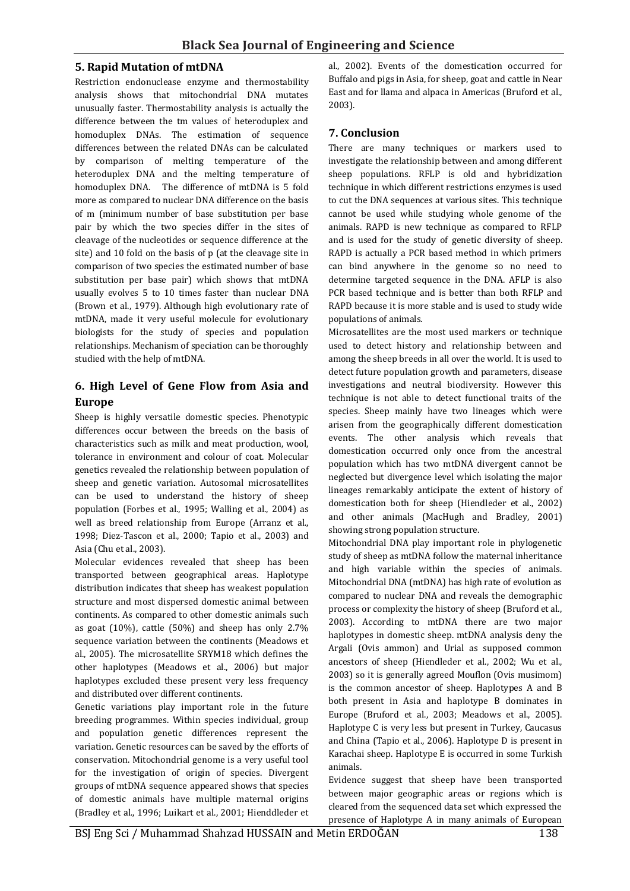#### **5. Rapid Mutation of mtDNA**

Restriction endonuclease enzyme and thermostability analysis shows that mitochondrial DNA mutates unusually faster. Thermostability analysis is actually the difference between the tm values of heteroduplex and homoduplex DNAs. The estimation of sequence differences between the related DNAs can be calculated by comparison of melting temperature of the heteroduplex DNA and the melting temperature of homoduplex DNA. The difference of mtDNA is 5 fold more as compared to nuclear DNA difference on the basis of m (minimum number of base substitution per base pair by which the two species differ in the sites of cleavage of the nucleotides or sequence difference at the site) and 10 fold on the basis of p (at the cleavage site in comparison of two species the estimated number of base substitution per base pair) which shows that mtDNA usually evolves 5 to 10 times faster than nuclear DNA (Brown et al., 1979). Although high evolutionary rate of mtDNA, made it very useful molecule for evolutionary biologists for the study of species and population relationships. Mechanism of speciation can be thoroughly studied with the help of mtDNA.

# **6. High Level of Gene Flow from Asia and Europe**

Sheep is highly versatile domestic species. Phenotypic differences occur between the breeds on the basis of characteristics such as milk and meat production, wool, tolerance in environment and colour of coat. Molecular genetics revealed the relationship between population of sheep and genetic variation. Autosomal microsatellites can be used to understand the history of sheep population (Forbes et al., 1995; Walling et al., 2004) as well as breed relationship from Europe (Arranz et al., 1998; Diez-Tascon et al., 2000; Tapio et al., 2003) and Asia (Chu et al., 2003).

Molecular evidences revealed that sheep has been transported between geographical areas. Haplotype distribution indicates that sheep has weakest population structure and most dispersed domestic animal between continents. As compared to other domestic animals such as goat (10%), cattle (50%) and sheep has only 2.7% sequence variation between the continents (Meadows et al., 2005). The microsatellite SRYM18 which defines the other haplotypes (Meadows et al., 2006) but major haplotypes excluded these present very less frequency and distributed over different continents.

Genetic variations play important role in the future breeding programmes. Within species individual, group and population genetic differences represent the variation. Genetic resources can be saved by the efforts of conservation. Mitochondrial genome is a very useful tool for the investigation of origin of species. Divergent groups of mtDNA sequence appeared shows that species of domestic animals have multiple maternal origins (Bradley et al., 1996; Luikart et al., 2001; Hienddleder et al., 2002). Events of the domestication occurred for Buffalo and pigs in Asia, for sheep, goat and cattle in Near East and for llama and alpaca in Americas (Bruford et al., 2003).

# **7. Conclusion**

There are many techniques or markers used to investigate the relationship between and among different sheep populations. RFLP is old and hybridization technique in which different restrictions enzymes is used to cut the DNA sequences at various sites. This technique cannot be used while studying whole genome of the animals. RAPD is new technique as compared to RFLP and is used for the study of genetic diversity of sheep. RAPD is actually a PCR based method in which primers can bind anywhere in the genome so no need to determine targeted sequence in the DNA. AFLP is also PCR based technique and is better than both RFLP and RAPD because it is more stable and is used to study wide populations of animals.

Microsatellites are the most used markers or technique used to detect history and relationship between and among the sheep breeds in all over the world. It is used to detect future population growth and parameters, disease investigations and neutral biodiversity. However this technique is not able to detect functional traits of the species. Sheep mainly have two lineages which were arisen from the geographically different domestication events. The other analysis which reveals that domestication occurred only once from the ancestral population which has two mtDNA divergent cannot be neglected but divergence level which isolating the major lineages remarkably anticipate the extent of history of domestication both for sheep (Hiendleder et al., 2002) and other animals (MacHugh and Bradley, 2001) showing strong population structure.

Mitochondrial DNA play important role in phylogenetic study of sheep as mtDNA follow the maternal inheritance and high variable within the species of animals. Mitochondrial DNA (mtDNA) has high rate of evolution as compared to nuclear DNA and reveals the demographic process or complexity the history of sheep (Bruford et al., 2003). According to mtDNA there are two major haplotypes in domestic sheep. mtDNA analysis deny the Argali (Ovis ammon) and Urial as supposed common ancestors of sheep (Hiendleder et al., 2002; Wu et al., 2003) so it is generally agreed Mouflon (Ovis musimom) is the common ancestor of sheep. Haplotypes A and B both present in Asia and haplotype B dominates in Europe (Bruford et al., 2003; Meadows et al., 2005). Haplotype C is very less but present in Turkey, Caucasus and China (Tapio et al., 2006). Haplotype D is present in Karachai sheep. Haplotype E is occurred in some Turkish animals.

Evidence suggest that sheep have been transported between major geographic areas or regions which is cleared from the sequenced data set which expressed the presence of Haplotype A in many animals of European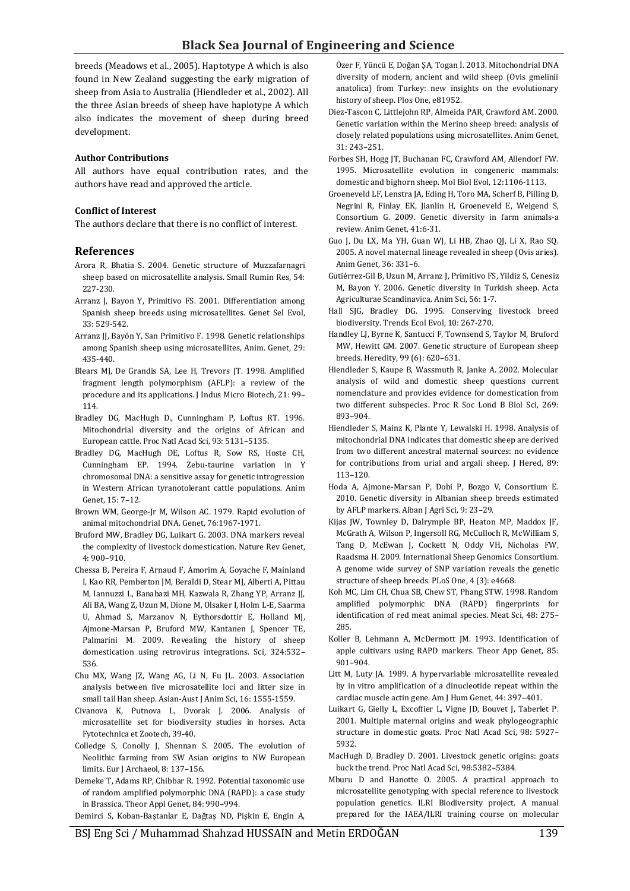breeds (Meadows et al., 2005). Haptotype A which is also found in New Zealand suggesting the early migration of sheep from Asia to Australia (Hiendleder et al., 2002). All the three Asian breeds of sheep have haplotype A which also indicates the movement of sheep during breed development.

#### **Author Contributions**

All authors have equal contribution rates, and the authors have read and approved the article.

#### **Conflict of Interest**

The authors declare that there is no conflict of interest.

#### **References**

- Arora R, Bhatia S. 2004. Genetic structure of Muzzafarnagri sheep based on microsatellite analysis. Small Rumin Res, 54: 227-230.
- Arranz J, Bayon Y, Primitivo FS. 2001. Differentiation among Spanish sheep breeds using microsatellites. Genet Sel Evol, 33: 529-542.
- Arranz JJ, Bayón Y, San Primitivo F. 1998. Genetic relationships among Spanish sheep using microsatellites, Anim. Genet, 29: 435-440.
- Blears MJ, De Grandis SA, Lee H, Trevors JT. 1998. Amplified fragment length polymorphism (AFLP): a review of the procedure and its applications. J Indus Micro Biotech, 21: 99– 114.
- Bradley DG, MacHugh D., Cunningham P, Loftus RT. 1996. Mitochondrial diversity and the origins of African and European cattle. Proc Natl Acad Sci, 93: 5131–5135.
- Bradley DG, MacHugh DE, Loftus R, Sow RS, Hoste CH, Cunningham EP. 1994. Zebu-taurine variation in Y chromosomal DNA: a sensitive assay for genetic introgression in Western African tyranotolerant cattle populations. Anim Genet, 15: 7–12.
- Brown WM, George-Jr M, Wilson AC. 1979. Rapid evolution of animal mitochondrial DNA. Genet, 76:1967-1971.
- Bruford MW, Bradley DG, Luikart G. 2003. DNA markers reveal the complexity of livestock domestication. Nature Rev Genet, 4: 900–910.
- Chessa B, Pereira F, Arnaud F, Amorim A, Goyache F, Mainland I, Kao RR, Pemberton JM, Beraldi D, Stear MJ, Alberti A, Pittau M, Iannuzzi L, Banabazi MH, Kazwala R, Zhang YP, Arranz JJ, Ali BA, Wang Z, Uzun M, Dione M, Olsaker I, Holm L-E, Saarma U, Ahmad S, Marzanov N, Eythorsdottir E, Holland MJ, Ajmone-Marsan P, Bruford MW, Kantanen J, Spencer TE, Palmarini M. 2009. Revealing the history of sheep domestication using retrovirus integrations. Sci, 324:532– 536.
- Chu MX, Wang JZ, Wang AG, Li N, Fu JL. 2003. Association analysis between five microsatellite loci and litter size in small tail Han sheep. Asian-Aust J Anim Sci, 16: 1555-1559.
- Civanova K, Putnova L, Dvorak J. 2006. Analysis of microsatellite set for biodiversity studies in horses. Acta Fytotechnica et Zootech, 39-40.
- Colledge S, Conolly J, Shennan S. 2005. The evolution of Neolithic farming from SW Asian origins to NW European limits. Eur J Archaeol, 8: 137–156.
- Demeke T, Adams RP, Chibbar R. 1992. Potential taxonomic use of random amplified polymorphic DNA (RAPD): a case study in Brassica. Theor Appl Genet, 84: 990–994.

Demirci S, Koban-Baştanlar E, Dağtaş ND, Pişkin E, Engin A,

Özer F, Yüncü E, Doğan ŞA, Togan İ. 2013. Mitochondrial DNA diversity of modern, ancient and wild sheep (Ovis gmelinii anatolica) from Turkey: new insights on the evolutionary history of sheep. Plos One, e81952.

- Diez-Tascon C, Littlejohn RP, Almeida PAR, Crawford AM. 2000. Genetic variation within the Merino sheep breed: analysis of closely related populations using microsatellites. Anim Genet, 31: 243–251.
- Forbes SH, Hogg JT, Buchanan FC, Crawford AM, Allendorf FW. 1995. Microsatellite evolution in congeneric mammals: domestic and bighorn sheep. Mol Biol Evol, 12:1106-1113.
- Groeneveld LF, Lenstra JA, Eding H, Toro MA, Scherf B, Pilling D, Negrini R, Finlay EK, Jianlin H, Groeneveld E, Weigend S, Consortium G. 2009. Genetic diversity in farm animals-a review. Anim Genet, 41:6-31.
- Guo J, Du LX, Ma YH, Guan WJ, Li HB, Zhao QJ, Li X, Rao SQ. 2005. A novel maternal lineage revealed in sheep (Ovis aries). Anim Genet, 36: 331–6.
- Gutiérrez-Gil B, Uzun M, Arranz J, Primitivo FS, Yildiz S, Cenesiz M, Bayon Y. 2006. Genetic diversity in Turkish sheep. Acta Agriculturae Scandinavica. Anim Sci, 56: 1-7.
- Hall SJG, Bradley DG. 1995. Conserving livestock breed biodiversity. Trends Ecol Evol, 10: 267-270.
- Handley LJ, Byrne K, Santucci F, Townsend S, Taylor M, Bruford MW, Hewitt GM. 2007. Genetic structure of European sheep breeds. Heredity, 99 (6): 620–631.
- Hiendleder S, Kaupe B, Wassmuth R, Janke A. 2002. Molecular analysis of wild and domestic sheep questions current nomenclature and provides evidence for domestication from two different subspecies. Proc R Soc Lond B Biol Sci, 269: 893–904.
- Hiendleder S, Mainz K, Plante Y, Lewalski H. 1998. Analysis of mitochondrial DNA indicates that domestic sheep are derived from two different ancestral maternal sources: no evidence for contributions from urial and argali sheep. J Hered, 89: 113–120.
- Hoda A, Ajmone-Marsan P, Dobi P, Bozgo V, Consortium E. 2010. Genetic diversity in Albanian sheep breeds estimated by AFLP markers. Alban J Agri Sci, 9: 23–29.
- Kijas JW, Townley D, Dalrymple BP, Heaton MP, Maddox JF, McGrath A, Wilson P, Ingersoll RG, McCulloch R, McWilliam S, Tang D, McEwan J, Cockett N, Oddy VH, Nicholas FW, Raadsma H. 2009. International Sheep Genomics Consortium. A genome wide survey of SNP variation reveals the genetic structure of sheep breeds. PLoS One, 4 (3): e4668.
- Koh MC, Lim CH, Chua SB, Chew ST, Phang STW. 1998. Random amplified polymorphic DNA (RAPD) fingerprints for identification of red meat animal species. Meat Sci, 48: 275– 285.
- Koller B, Lehmann A, McDermott JM. 1993. Identification of apple cultivars using RAPD markers. Theor App Genet, 85: 901–904.
- Litt M, Luty JA. 1989. A hypervariable microsatellite revealed by in vitro amplification of a dinucleotide repeat within the cardiac muscle actin gene. Am J Hum Genet, 44: 397–401.
- Luikart G, Gielly L, Excoffier L, Vigne JD, Bouvet J, Taberlet P. 2001. Multiple maternal origins and weak phylogeographic structure in domestic goats. Proc Natl Acad Sci, 98: 5927– 5932.
- MacHugh D, Bradley D. 2001. Livestock genetic origins: goats buck the trend. Proc Natl Acad Sci, 98:5382–5384.
- Mburu D and Hanotte O. 2005. A practical approach to microsatellite genotyping with special reference to livestock population genetics. ILRI Biodiversity project. A manual prepared for the IAEA/ILRI training course on molecular